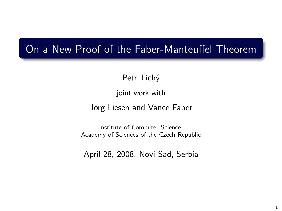## On a New Proof of the Faber-Manteuffel Theorem

Petr Tichý

joint work with

Jörg Liesen and Vance Faber

Institute of Computer Science, Academy of Sciences of the Czech Republic

April 28, 2008, Novi Sad, Serbia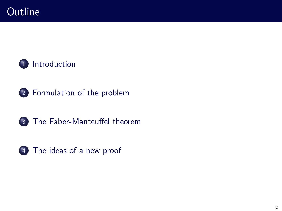





[The Faber-Manteuffel theorem](#page-30-0)



[The ideas of a new proof](#page-35-0)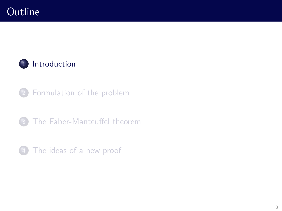

- [Formulation of the problem](#page-18-0)
- [The Faber-Manteuffel theorem](#page-30-0)
- <span id="page-2-0"></span>[The ideas of a new proof](#page-35-0)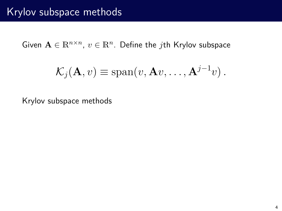Given  $\mathbf{A} \in \mathbb{R}^{n \times n}$ ,  $v \in \mathbb{R}^n$ . Define the *j*th Krylov subspace

$$
\mathcal{K}_j(\mathbf{A}, v) \equiv \text{span}(v, \mathbf{A}v, \dots, \mathbf{A}^{j-1}v).
$$

Krylov subspace methods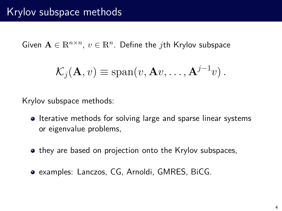Given  $\mathbf{A} \in \mathbb{R}^{n \times n}$ ,  $v \in \mathbb{R}^n$ . Define the *j*th Krylov subspace

$$
\mathcal{K}_j(\mathbf{A}, v) \equiv \text{span}(v, \mathbf{A}v, \dots, \mathbf{A}^{j-1}v).
$$

Krylov subspace methods:

- **Iterative methods for solving large and sparse linear systems** or eigenvalue problems,
- they are based on projection onto the Krylov subspaces,
- examples: Lanczos, CG, Arnoldi, GMRES, BiCG.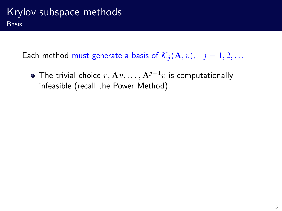Each method must generate a basis of  $\mathcal{K}_i(\mathbf{A}, v)$ ,  $j = 1, 2, \dots$ 

**•** The trivial choice  $v, Av, \ldots, A^{j-1}v$  is computationally infeasible (recall the Power Method).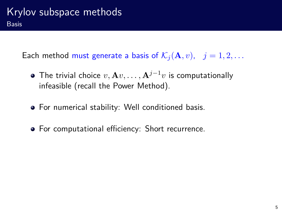Each method must generate a basis of  $\mathcal{K}_i(\mathbf{A}, v)$ ,  $j = 1, 2, \ldots$ 

- **•** The trivial choice  $v, Av, \ldots, A^{j-1}v$  is computationally infeasible (recall the Power Method).
- For numerical stability: Well conditioned basis.
- For computational efficiency: Short recurrence.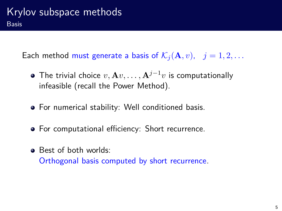Each method must generate a basis of  $\mathcal{K}_i(\mathbf{A}, v)$ ,  $j = 1, 2, \ldots$ 

- **•** The trivial choice  $v, Av, \ldots, A^{j-1}v$  is computationally infeasible (recall the Power Method).
- For numerical stability: Well conditioned basis.
- For computational efficiency: Short recurrence.
- **Best of both worlds:** Orthogonal basis computed by short recurrence.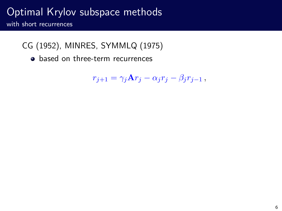with short recurrences

- CG (1952), MINRES, SYMMLQ (1975)
	- based on three-term recurrences

$$
r_{j+1} = \gamma_j \mathbf{A} r_j - \alpha_j r_j - \beta_j r_{j-1} ,
$$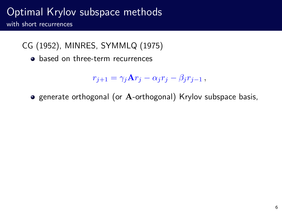with short recurrences

- CG (1952), MINRES, SYMMLQ (1975)
	- based on three-term recurrences

$$
r_{j+1} = \gamma_j \mathbf{A} r_j - \alpha_j r_j - \beta_j r_{j-1} \,,
$$

generate orthogonal (or **A**-orthogonal) Krylov subspace basis,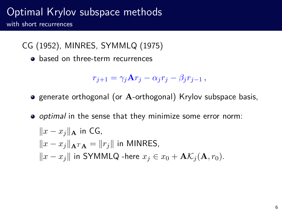with short recurrences

- CG (1952), MINRES, SYMMLQ (1975)
	- **a** based on three-term recurrences

$$
r_{j+1} = \gamma_j \mathbf{A} r_j - \alpha_j r_j - \beta_j r_{j-1} \,,
$$

- **•** generate orthogonal (or A-orthogonal) Krylov subspace basis,
- *optimal* in the sense that they minimize some error norm:  $||x - x_i||$ **∆** in CG,  $||x - x_i||$   $\uparrow$   $\uparrow$   $\uparrow$   $\uparrow$   $\uparrow$   $\uparrow$   $||r_i||$  in MINRES,  $\|x - x_j\|$  in SYMMLQ -here  $x_j$  ∈  $x_0$  + **A** $\mathcal{K}_j$  (**A***, r*<sub>0</sub>).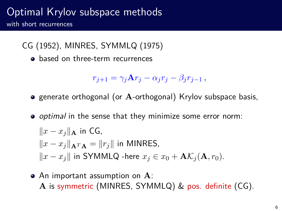with short recurrences

- CG (1952), MINRES, SYMMLQ (1975)
	- **a** based on three-term recurrences

$$
r_{j+1} = \gamma_j \mathbf{A} r_j - \alpha_j r_j - \beta_j r_{j-1},
$$

- **•** generate orthogonal (or A-orthogonal) Krylov subspace basis,
- *optimal* in the sense that they minimize some error norm:  $||x - x<sub>j</sub>||<sub>A</sub>$  in CG,  $||x - x_i||$   $\uparrow$   $\uparrow$   $\uparrow$   $\uparrow$   $\uparrow$   $\uparrow$   $||r_i||$  in MINRES,  $\|x - x_j\|$  in SYMMLQ -here  $x_j$  ∈  $x_0$  + **A** $\mathcal{K}_j$  (**A***, r*<sub>0</sub>).
- An important assumption on **A**: **A** is symmetric (MINRES, SYMMLQ) & pos. definite (CG).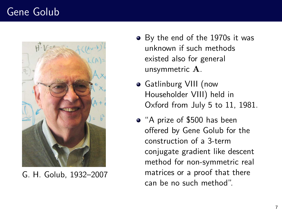# Gene Golub



G. H. Golub, 1932–2007

- By the end of the 1970s it was unknown if such methods existed also for general unsymmetric **A**.
- Gatlinburg VIII (now Householder VIII) held in Oxford from July 5 to 11, 1981.
- "A prize of \$500 has been offered by Gene Golub for the construction of a 3-term conjugate gradient like descent method for non-symmetric real matrices or a proof that there can be no such method".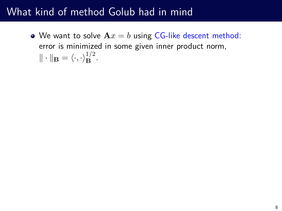• We want to solve  $Ax = b$  using CG-like descent method: error is minimized in some given inner product norm,  $\|\cdot\|_{\mathbf{B}} = \langle \cdot, \cdot \rangle_{\mathbf{B}}^{1/2}.$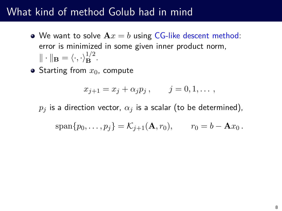- We want to solve  $Ax = b$  using CG-like descent method: error is minimized in some given inner product norm,  $\|\cdot\|_{\mathbf{B}} = \langle \cdot, \cdot \rangle_{\mathbf{B}}^{1/2}.$
- $\bullet$  Starting from  $x_0$ , compute

$$
x_{j+1} = x_j + \alpha_j p_j, \qquad j = 0, 1, \ldots,
$$

 $p_j$  is a direction vector,  $\alpha_j$  is a scalar (to be determined),

$$
\mathrm{span}\{p_0,\ldots,p_j\}=\mathcal{K}_{j+1}(\mathbf{A},r_0),\qquad r_0=b-\mathbf{A}x_0.
$$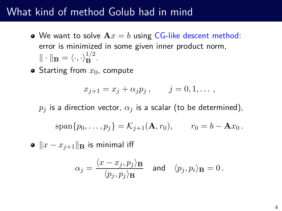- We want to solve  $Ax = b$  using CG-like descent method: error is minimized in some given inner product norm,  $\|\cdot\|_{\mathbf{B}} = \langle \cdot, \cdot \rangle_{\mathbf{B}}^{1/2}.$
- $\bullet$  Starting from  $x_0$ , compute

$$
x_{j+1} = x_j + \alpha_j p_j, \qquad j = 0, 1, \ldots,
$$

 $p_j$  is a direction vector,  $\alpha_j$  is a scalar (to be determined),

$$
span\{p_0,\ldots,p_j\} = \mathcal{K}_{j+1}(\mathbf{A},r_0), \qquad r_0 = b - \mathbf{A}x_0.
$$

•  $||x - x_{i+1}||_B$  is minimal iff

$$
\alpha_j = \frac{\langle x-x_j, p_j \rangle_{\mathbf{B}}}{\langle p_j, p_j \rangle_{\mathbf{B}}} \quad \text{and} \quad \langle p_j, p_i \rangle_{\mathbf{B}} = 0 \,.
$$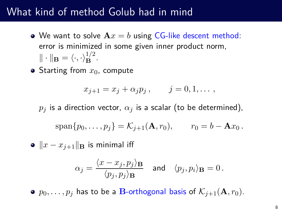- We want to solve  $Ax = b$  using CG-like descent method: error is minimized in some given inner product norm,  $\|\cdot\|_{\mathbf{B}} = \langle \cdot, \cdot \rangle_{\mathbf{B}}^{1/2}.$
- $\bullet$  Starting from  $x_0$ , compute

$$
x_{j+1} = x_j + \alpha_j p_j, \qquad j = 0, 1, \ldots,
$$

 $p_i$  is a direction vector,  $\alpha_i$  is a scalar (to be determined),

$$
\mathrm{span}\{p_0,\ldots,p_j\}=\mathcal{K}_{j+1}(\mathbf{A},r_0),\qquad r_0=b-\mathbf{A}x_0.
$$

•  $||x - x_{i+1}||_B$  is minimal iff

$$
\alpha_j = \frac{\langle x-x_j, p_j \rangle_{\mathbf{B}}}{\langle p_j, p_j \rangle_{\mathbf{B}}} \quad \text{and} \quad \langle p_j, p_i \rangle_{\mathbf{B}} = 0 \,.
$$

•  $p_0, \ldots, p_j$  has to be a **B**-orthogonal basis of  $\mathcal{K}_{j+1}(\mathbf{A}, r_0)$ .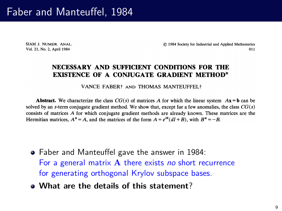## Faber and Manteuffel, 1984

SIAM I. NUMER. ANAL. Vol. 21, No. 2, April 1984

C 1984 Society for Industrial and Applied Mathematics 011

#### NECESSARY AND SUFFICIENT CONDITIONS FOR THE **EXISTENCE OF A CONJUGATE GRADIENT METHOD\***

VANCE FABER† AND THOMAS MANTEUFFELT

**Abstract.** We characterize the class  $CG(s)$  of matrices A for which the linear system  $Ax = b$  can be solved by an s-term conjugate gradient method. We show that, except for a few anomalies, the class  $CG(s)$ consists of matrices A for which conjugate gradient methods are already known. These matrices are the Hermitian matrices,  $A^* = A$ , and the matrices of the form  $A = e^{i\theta} (dI + B)$ , with  $B^* = -B$ .

- Faber and Manteuffel gave the answer in 1984: For a general matrix **A** there exists no short recurrence for generating orthogonal Krylov subspace bases.
- **What are the details of this statement**?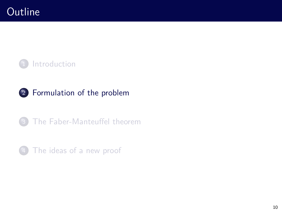





<span id="page-18-0"></span>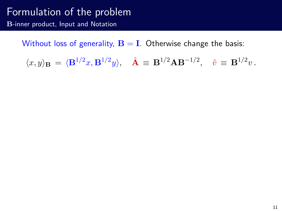#### Formulation of the problem **B**-inner product, Input and Notation

Without loss of generality,  $\mathbf{B} = \mathbf{I}$ . Otherwise change the basis:

$$
\langle x, y \rangle_{\mathbf{B}} = \langle \mathbf{B}^{1/2} x, \mathbf{B}^{1/2} y \rangle, \quad \hat{\mathbf{A}} \equiv \mathbf{B}^{1/2} \mathbf{A} \mathbf{B}^{-1/2}, \quad \hat{v} \equiv \mathbf{B}^{1/2} v.
$$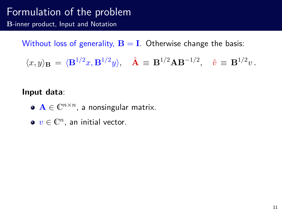#### Formulation of the problem **B**-inner product, Input and Notation

Without loss of generality,  $B = I$ . Otherwise change the basis:

$$
\langle x, y \rangle_{\mathbf{B}} = \langle \mathbf{B}^{1/2} x, \mathbf{B}^{1/2} y \rangle, \quad \hat{\mathbf{A}} \equiv \mathbf{B}^{1/2} \mathbf{A} \mathbf{B}^{-1/2}, \quad \hat{v} \equiv \mathbf{B}^{1/2} v.
$$

#### **Input data**:

- $\mathbf{A} \in \mathbb{C}^{n \times n}$ , a nonsingular matrix.
- $v \in \mathbb{C}^n$ , an initial vector.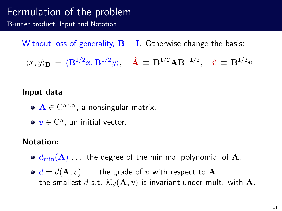#### Formulation of the problem **B**-inner product, Input and Notation

Without loss of generality,  $B = I$ . Otherwise change the basis:

$$
\langle x, y \rangle_{\mathbf{B}} = \langle \mathbf{B}^{1/2} x, \mathbf{B}^{1/2} y \rangle, \quad \hat{\mathbf{A}} \equiv \mathbf{B}^{1/2} \mathbf{A} \mathbf{B}^{-1/2}, \quad \hat{v} \equiv \mathbf{B}^{1/2} v.
$$

#### **Input data**:

- $\mathbf{A} \in \mathbb{C}^{n \times n}$ , a nonsingular matrix.
- $v \in \mathbb{C}^n$ , an initial vector.

#### **Notation:**

- $\bullet$   $d_{\text{min}}(\mathbf{A})$  . . . the degree of the minimal polynomial of **A**.
- $\bullet$   $d = d(\mathbf{A}, v)$  ... the grade of *v* with respect to **A**, the smallest *d* s.t.  $\mathcal{K}_d(\mathbf{A}, v)$  is invariant under mult. with **A**.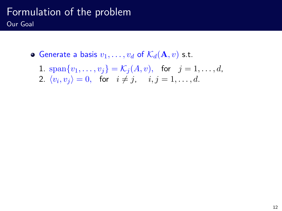## Formulation of the problem Our Goal

- Generate a basis  $v_1, \ldots, v_d$  of  $\mathcal{K}_d(\mathbf{A}, v)$  s.t.
	- 1.  $\text{span}\{v_1, \ldots, v_j\} = \mathcal{K}_j(A, v)$ , for  $j = 1, \ldots, d$ ,
	- 2.  $\langle v_i, v_j \rangle = 0$ , for  $i \neq j$ ,  $i, j = 1, \ldots, d$ .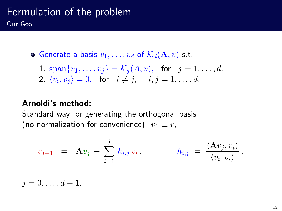## Formulation of the problem Our Goal

• Generate a basis  $v_1, \ldots, v_d$  of  $\mathcal{K}_d(\mathbf{A}, v)$  s.t.

1. 
$$
\text{span}\{v_1, \ldots, v_j\} = \mathcal{K}_j(A, v)
$$
, for  $j = 1, \ldots, d$ ,  
2.  $\langle v_i, v_j \rangle = 0$ , for  $i \neq j$ ,  $i, j = 1, \ldots, d$ .

#### **Arnoldi's method:**

Standard way for generating the orthogonal basis (no normalization for convenience):  $v_1 \equiv v$ ,

$$
v_{j+1} = \mathbf{A}v_j - \sum_{i=1}^j h_{i,j}v_i, \qquad h_{i,j} = \frac{\langle \mathbf{A}v_j, v_i \rangle}{\langle v_i, v_i \rangle},
$$

 $j = 0, \ldots, d - 1.$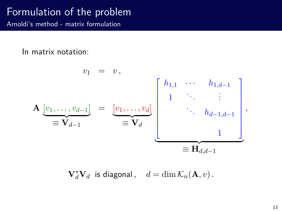Arnoldi's method - matrix formulation

In matrix notation:

$$
v_{1} = v,
$$
\n
$$
\mathbf{A} \underbrace{[v_{1}, \dots, v_{d-1}]}_{\equiv \mathbf{V}_{d-1}} = \underbrace{[v_{1}, \dots, v_{d}]}_{\equiv \mathbf{V}_{d}} \underbrace{\begin{bmatrix} h_{1,1} & \cdots & h_{1,d-1} \\ 1 & \ddots & \vdots \\ & \ddots & h_{d-1,d-1} \\ & & 1 \end{bmatrix}}_{\equiv \mathbf{H}_{d,d-1}},
$$

 $\mathbf{V}_d^* \mathbf{V}_d$  is diagonal,  $d = \dim \mathcal{K}_n(\mathbf{A}, v)$ .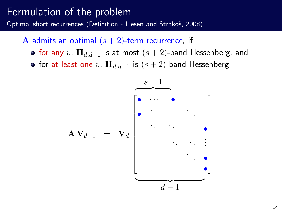Optimal short recurrences (Definition - Liesen and Strakoš, 2008)

- **A** admits an optimal  $(s + 2)$ -term recurrence, if
	- for any *v*, **H***d,d*−<sup>1</sup> is at most (*s* + 2)-band Hessenberg, and
	- for at least one *v*, **H***d,d*−<sup>1</sup> is (*s* + 2)-band Hessenberg.

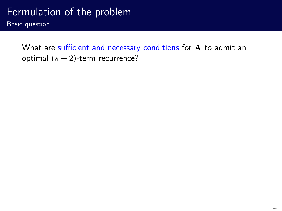Basic question

What are sufficient and necessary conditions for **A** to admit an optimal (*s* + 2)-term recurrence?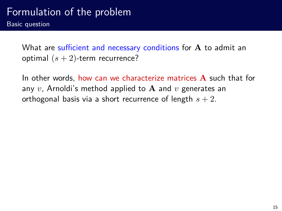What are sufficient and necessary conditions for **A** to admit an optimal  $(s + 2)$ -term recurrence?

In other words, how can we characterize matrices **A** such that for any *v*, Arnoldi's method applied to **A** and *v* generates an orthogonal basis via a short recurrence of length *s* + 2.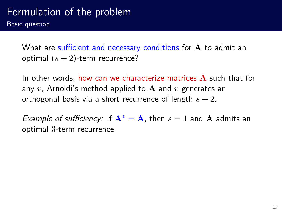What are sufficient and necessary conditions for **A** to admit an optimal  $(s + 2)$ -term recurrence?

In other words, how can we characterize matrices **A** such that for any *v*, Arnoldi's method applied to **A** and *v* generates an orthogonal basis via a short recurrence of length *s* + 2.

Example of sufficiency: If  $A^* = A$ , then  $s = 1$  and A admits an optimal 3-term recurrence.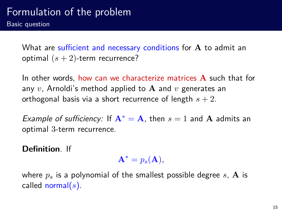What are sufficient and necessary conditions for **A** to admit an optimal  $(s + 2)$ -term recurrence?

In other words, how can we characterize matrices **A** such that for any *v*, Arnoldi's method applied to **A** and *v* generates an orthogonal basis via a short recurrence of length *s* + 2.

Example of sufficiency: If  $A^* = A$ , then  $s = 1$  and A admits an optimal 3-term recurrence.

**Definition**. If

 $\mathbf{A}^* = p_s(\mathbf{A}),$ 

where  $p_s$  is a polynomial of the smallest possible degree  $s$ ,  $\bf{A}$  is called normal(*s*).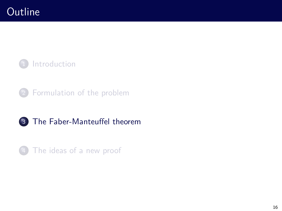





<span id="page-30-0"></span>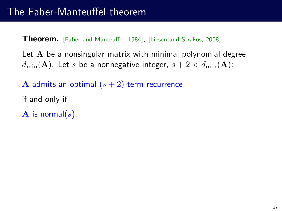**Theorem.** [Faber and Manteuffel, 1984], [Liesen and Strakoš, 2008]

Let **A** be a nonsingular matrix with minimal polynomial degree  $d_{\min}(\mathbf{A})$ . Let *s* be a nonnegative integer,  $s + 2 < d_{\min}(\mathbf{A})$ :

**A** admits an optimal  $(s + 2)$ -term recurrence

- if and only if
- **A** is normal(*s*).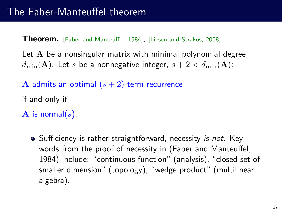**Theorem.** [Faber and Manteuffel, 1984], [Liesen and Strakoš, 2008]

Let **A** be a nonsingular matrix with minimal polynomial degree  $d_{\min}(\mathbf{A})$ . Let *s* be a nonnegative integer,  $s + 2 < d_{\min}(\mathbf{A})$ :

- **A** admits an optimal  $(s + 2)$ -term recurrence
- if and only if
- **A** is normal( $s$ ).
	- Sufficiency is rather straightforward, necessity is not. Key words from the proof of necessity in (Faber and Manteuffel, 1984) include: "continuous function" (analysis), "closed set of smaller dimension" (topology), "wedge product" (multilinear algebra).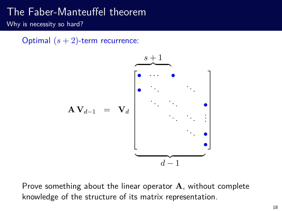## The Faber-Manteuffel theorem

Why is necessity so hard?

Optimal  $(s + 2)$ -term recurrence:



Prove something about the linear operator **A**, without complete knowledge of the structure of its matrix representation.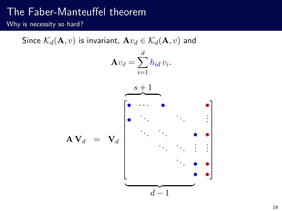## The Faber-Manteuffel theorem

Why is necessity so hard?

Since  $\mathcal{K}_d(\mathbf{A}, v)$  is invariant,  $\mathbf{A}v_d \in \mathcal{K}_d(\mathbf{A}, v)$  and  ${\bf A} v_d = \sum^d$ *i*=1  $h_{id}v_i$ . *s* + 1  $\overline{\phantom{a}}$  $\mathbf{A} \mathbf{V}_d = \mathbf{V}_d$  $\overline{1}$   $\bullet$  · · ·  $\bullet$  · · · · ·  $\bullet$ • . . . . . . . . . . . . . . . • • . . . . . . . . . . . . . . . • • • • Ī.  $\mathbf{I}$  $\overline{1}$  $\overline{1}$  $\overline{1}$  $\overline{1}$  $\overline{1}$  $\overline{1}$  $\overline{1}$  $\overline{1}$  $\overline{1}$  $\overline{1}$  $\overline{1}$  $\overbrace{\phantom{aaaaa}}$ *d* − 1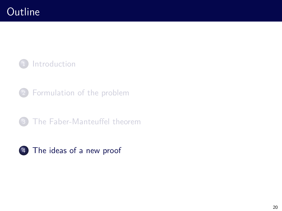

- [Formulation of the problem](#page-18-0)
- [The Faber-Manteuffel theorem](#page-30-0)

<span id="page-35-0"></span>

#### [The ideas of a new proof](#page-35-0)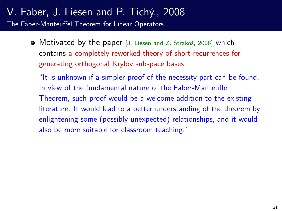#### V. Faber, J. Liesen and P. Tichý., 2008 The Faber-Manteuffel Theorem for Linear Operators

• Motivated by the paper [J. Liesen and Z. Strakoš, 2008] which contains a completely reworked theory of short recurrences for generating orthogonal Krylov subspace bases.

"It is unknown if a simpler proof of the necessity part can be found. In view of the fundamental nature of the Faber-Manteuffel Theorem, such proof would be a welcome addition to the existing literature. It would lead to a better understanding of the theorem by enlightening some (possibly unexpected) relationships, and it would also be more suitable for classroom teaching."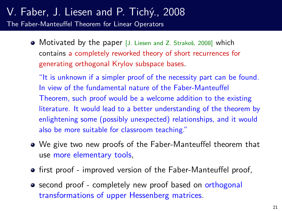#### V. Faber, J. Liesen and P. Tichý., 2008 The Faber-Manteuffel Theorem for Linear Operators

• Motivated by the paper [J. Liesen and Z. Strakoš, 2008] which contains a completely reworked theory of short recurrences for generating orthogonal Krylov subspace bases.

"It is unknown if a simpler proof of the necessity part can be found. In view of the fundamental nature of the Faber-Manteuffel Theorem, such proof would be a welcome addition to the existing literature. It would lead to a better understanding of the theorem by enlightening some (possibly unexpected) relationships, and it would also be more suitable for classroom teaching."

- We give two new proofs of the Faber-Manteuffel theorem that use more elementary tools,
- **•** first proof improved version of the Faber-Manteuffel proof,
- second proof completely new proof based on orthogonal transformations of upper Hessenberg matrices.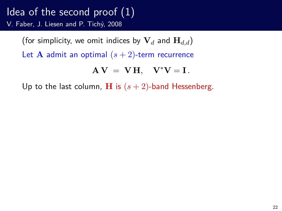(for simplicity, we omit indices by  $V_d$  and  $H_{d,d}$ )

Let **A** admit an optimal  $(s + 2)$ -term recurrence

$$
A V = V H, \quad V^* V = I.
$$

Up to the last column, **H** is  $(s + 2)$ -band Hessenberg.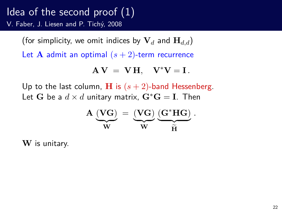(for simplicity, we omit indices by  $V_d$  and  $H_{d,d}$ )

Let **A** admit an optimal  $(s + 2)$ -term recurrence

$$
A V = V H, \quad V^* V = I.
$$

Up to the last column, **H** is  $(s + 2)$ -band Hessenberg. Let **G** be a  $d \times d$  unitary matrix,  $\mathbf{G}^* \mathbf{G} = \mathbf{I}$ . Then

$$
\mathbf{A} \underbrace{\left(\mathbf{VG}\right)}_{\mathbf{W}} \,=\, \underbrace{\left(\mathbf{VG}\right)}_{\mathbf{W}} \underbrace{\left(\mathbf{G}^*\mathbf{HG}\right)}_{\widetilde{\mathbf{H}}} \,.
$$

**W** is unitary.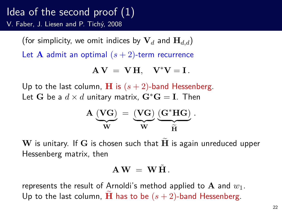(for simplicity, we omit indices by  $V_d$  and  $H_{d,d}$ )

Let **A** admit an optimal  $(s + 2)$ -term recurrence

$$
A V = V H, \quad V^* V = I.
$$

Up to the last column, **H** is  $(s + 2)$ -band Hessenberg. Let **G** be a  $d \times d$  unitary matrix,  $\mathbf{G}^* \mathbf{G} = \mathbf{I}$ . Then

$$
\mathbf{A} \underbrace{\left(\mathbf{VG}\right)}_{\mathbf{W}} \,=\, \underbrace{\left(\mathbf{VG}\right)}_{\mathbf{W}} \underbrace{\left(\mathbf{G}^*\mathbf{HG}\right)}_{\widetilde{\mathbf{H}}} \,.
$$

 $W$  is unitary. If  $G$  is chosen such that  $\tilde{H}$  is again unreduced upper Hessenberg matrix, then

$$
\mathbf{A}\,\mathbf{W}\ =\ \mathbf{W}\,\tilde{\mathbf{H}}\,.
$$

represents the result of Arnoldi's method applied to **A** and *w*1. Up to the last column, **H** has to be  $(s + 2)$ -band Hessenberg.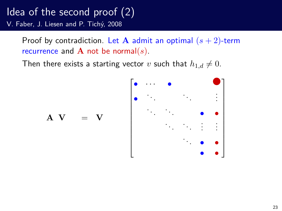Proof by contradiction. Let  $A$  admit an optimal  $(s + 2)$ -term recurrence and **A** not be normal(*s*).

Then there exists a starting vector *v* such that  $h_{1,d} \neq 0$ .



 $A \quad V = V$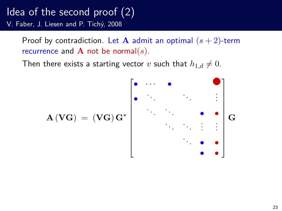Proof by contradiction. Let  $A$  admit an optimal  $(s + 2)$ -term recurrence and **A** not be normal(*s*).

Then there exists a starting vector *v* such that  $h_{1,d} \neq 0$ .

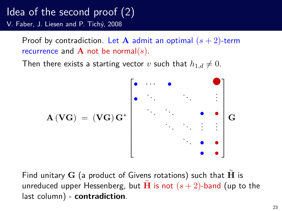Proof by contradiction. Let  $A$  admit an optimal  $(s + 2)$ -term recurrence and **A** not be normal(*s*).

Then there exists a starting vector *v* such that  $h_{1,d} \neq 0$ .



Find unitary  $G$  (a product of Givens rotations) such that  $H$  is unreduced upper Hessenberg, but **H** is not  $(s + 2)$ -band (up to the last column) - **contradiction**.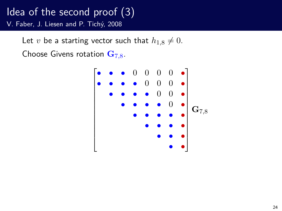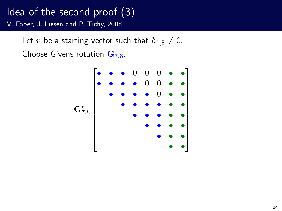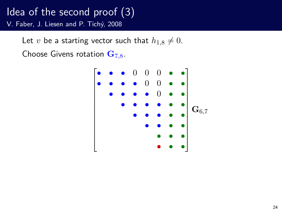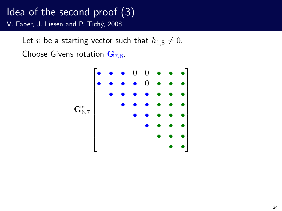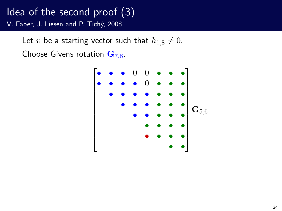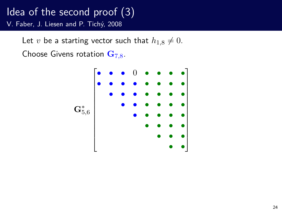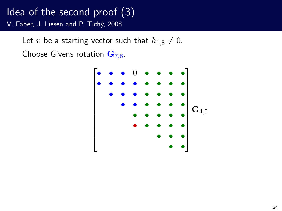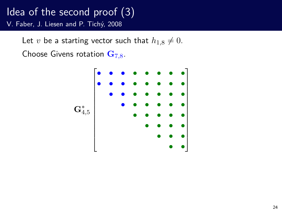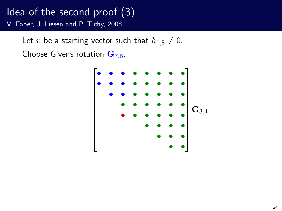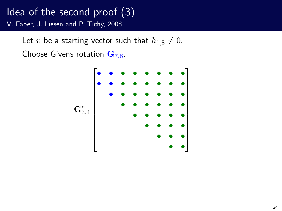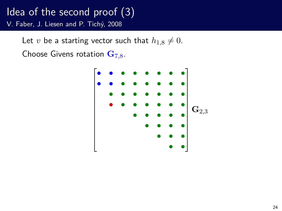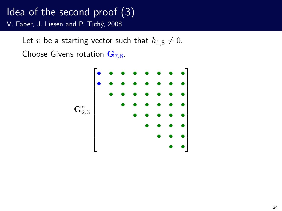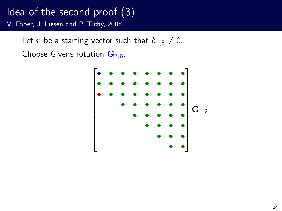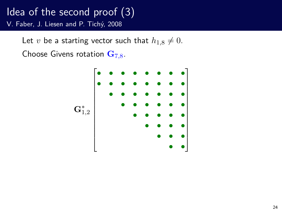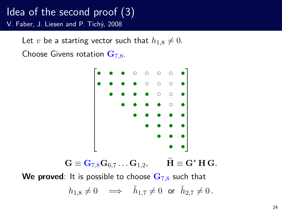Let *v* be a starting vector such that  $h_{1,8} \neq 0$ . Choose Givens rotation **G**7*,*8.



**We proved**: It is possible to choose **G**7*,*<sup>8</sup> such that

$$
h_{1,8}\neq 0\quad\Longrightarrow\quad \tilde{h}_{1,7}\neq 0\;\;\text{or}\;\;\tilde{h}_{2,7}\neq 0\,.
$$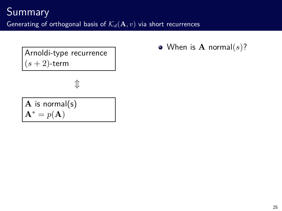Arnoldi-type recurrence  $(s+2)$ -term

 $\hat{\mathbb{J}}$ 

**A** is normal(s)  $\mathbf{A}^* = p(\mathbf{A})$ 

When is **A** normal(*s*)?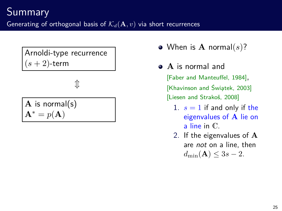Arnoldi-type recurrence (*s* + 2)-term

 $\mathbb T$ 

**A** is normal(s)  $\mathbf{A}^* = p(\mathbf{A})$ 

- When is **A** normal(*s*)?
- **A** is normal and [Faber and Manteuffel, 1984], [Khavinson and Świątek, 2003] [Liesen and Strakoš, 2008]
	- 1.  $s = 1$  if and only if the eigenvalues of **A** lie on a line in C.
	- 2. If the eigenvalues of **A** are not on a line, then  $d_{\min}({\bf A}) \leq 3s - 2$ .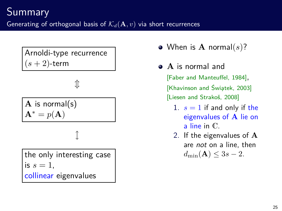Arnoldi-type recurrence (*s* + 2)-term

 $\mathbb T$ 

**A** is normal(s)  $= p(\mathbf{A})$ 

l

the only interesting case is  $s = 1$ . collinear eigenvalues

- When is **A** normal(*s*)?
- **A** is normal and [Faber and Manteuffel, 1984], [Khavinson and Świątek, 2003] [Liesen and Strakoš, 2008]
	- 1.  $s = 1$  if and only if the eigenvalues of **A** lie on a line in C.
	- 2. If the eigenvalues of **A** are not on a line, then  $d_{\min}({\bf A}) \leq 3s - 2$ .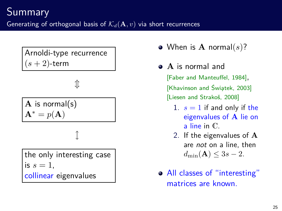Arnoldi-type recurrence (*s* + 2)-term

 $\mathbb T$ 

**A** is normal(s)  $= p(\mathbf{A})$ 

l

the only interesting case is  $s = 1$ . collinear eigenvalues

When is **A** normal(*s*)?

- **A** is normal and [Faber and Manteuffel, 1984], [Khavinson and Świątek, 2003] [Liesen and Strakoš, 2008]
	- 1.  $s = 1$  if and only if the eigenvalues of **A** lie on a line in C.
	- 2. If the eigenvalues of **A** are not on a line, then  $d_{\min}({\bf A}) \leq 3s - 2$ .
- All classes of "interesting" matrices are known.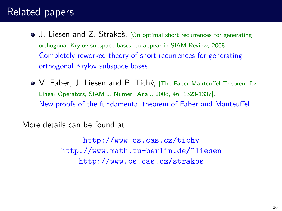# Related papers

- **•** J. Liesen and Z. Strakoš, [On optimal short recurrences for generating orthogonal Krylov subspace bases, to appear in SIAM Review, 2008]. Completely reworked theory of short recurrences for generating orthogonal Krylov subspace bases
- V. Faber, J. Liesen and P. Tichý, [The Faber-Manteuffel Theorem for Linear Operators, SIAM J. Numer. Anal., 2008, 46, 1323-1337]. New proofs of the fundamental theorem of Faber and Manteuffel

More details can be found at

http://www.cs.cas.cz/tichy http://www.math.tu-berlin.de/˜liesen http://www.cs.cas.cz/strakos